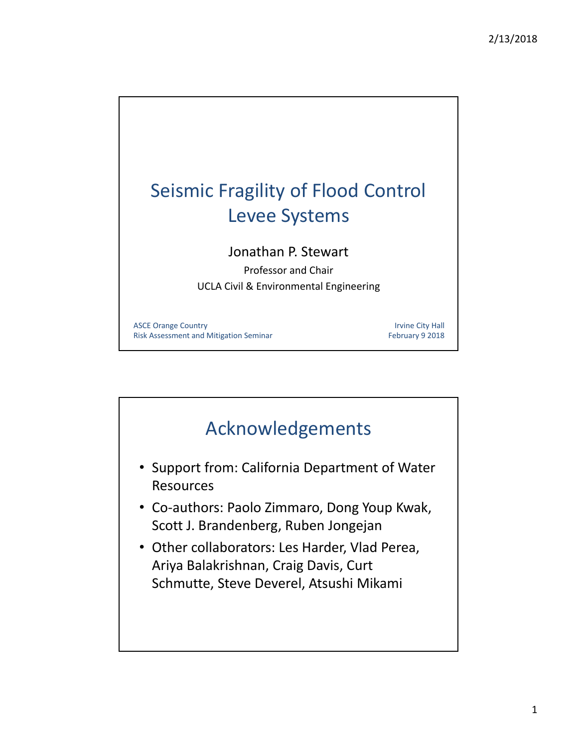

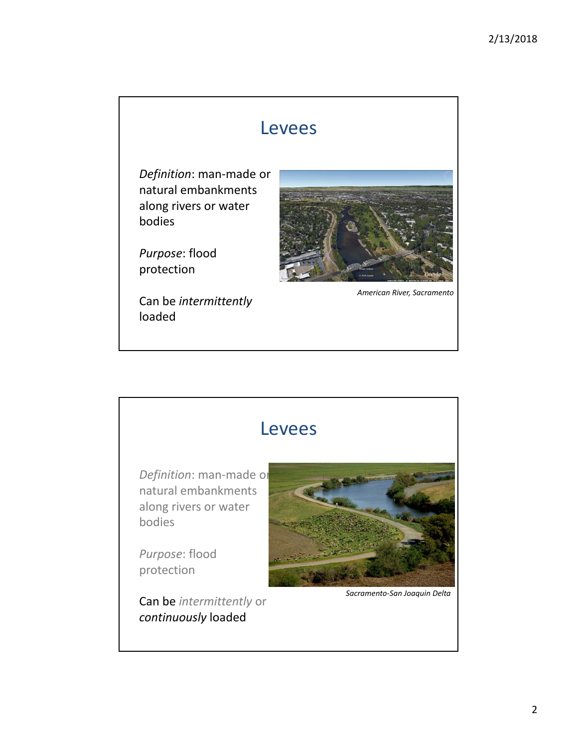### Levees

*Definition*: man‐made or natural embankments along rivers or water bodies

*Purpose*: flood protection

Can be *intermittently* loaded



*American River, Sacramento*

### Levees

*Definition*: man‐made or natural embankments along rivers or water bodies

*Purpose*: flood protection

Can be *intermittently* or *continuously* loaded



*Sacramento‐San Joaquin Delta*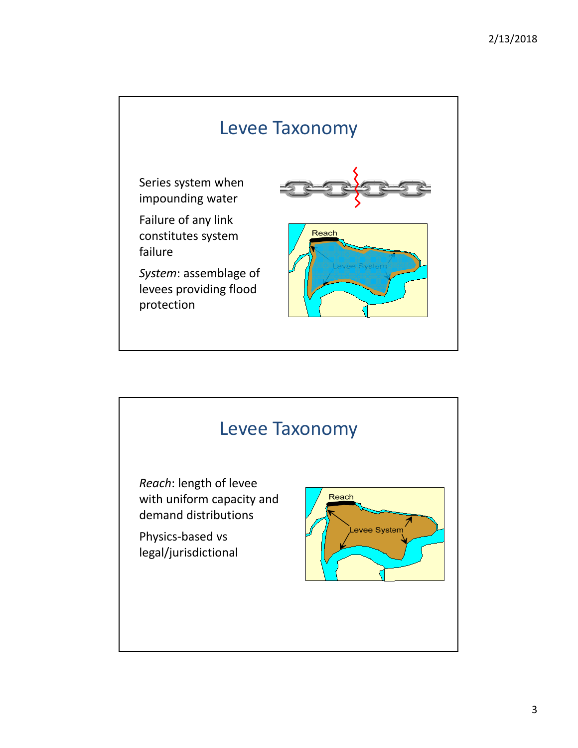

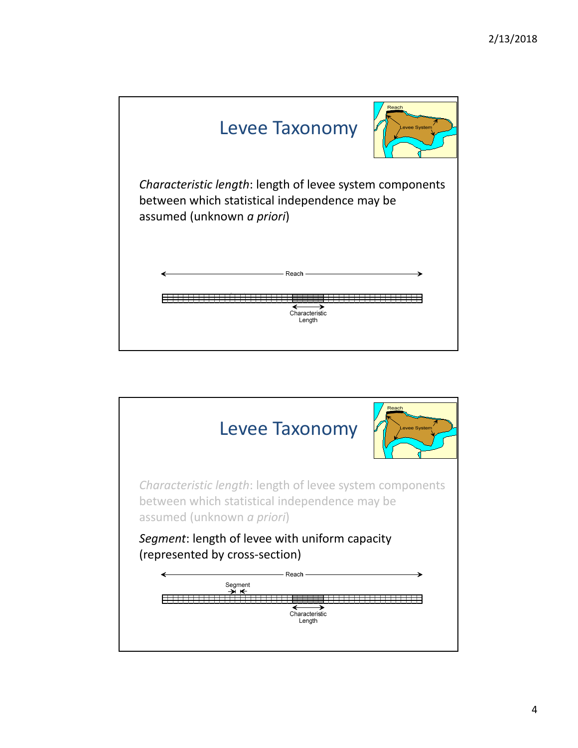

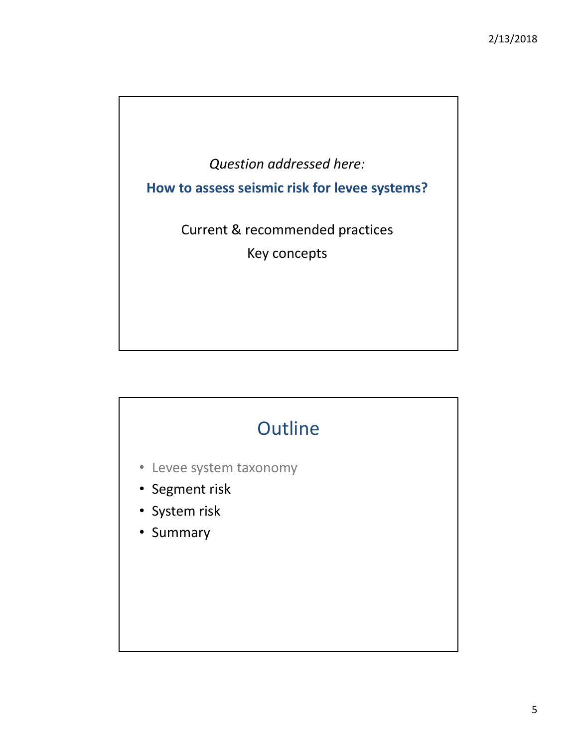

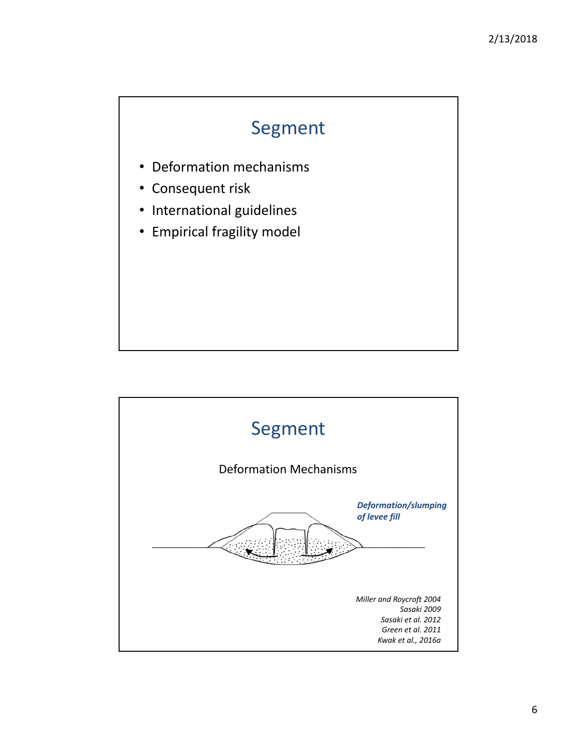### Segment

- Deformation mechanisms
- Consequent risk
- International guidelines
- Empirical fragility model

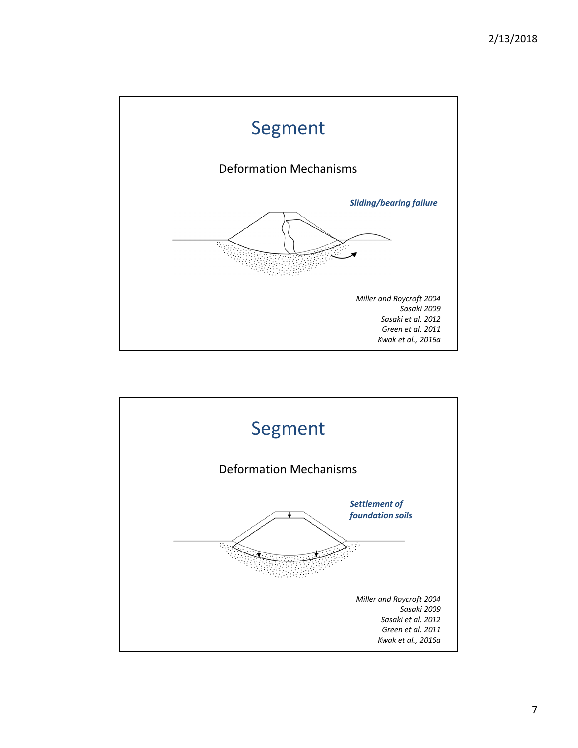

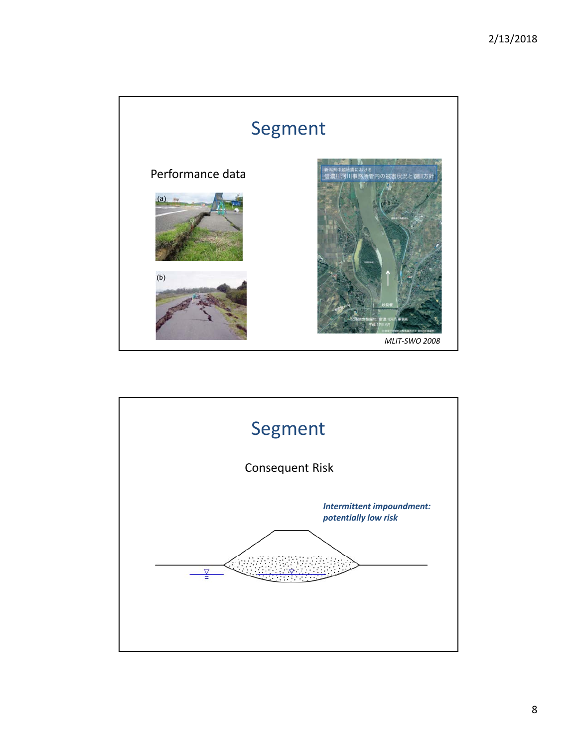

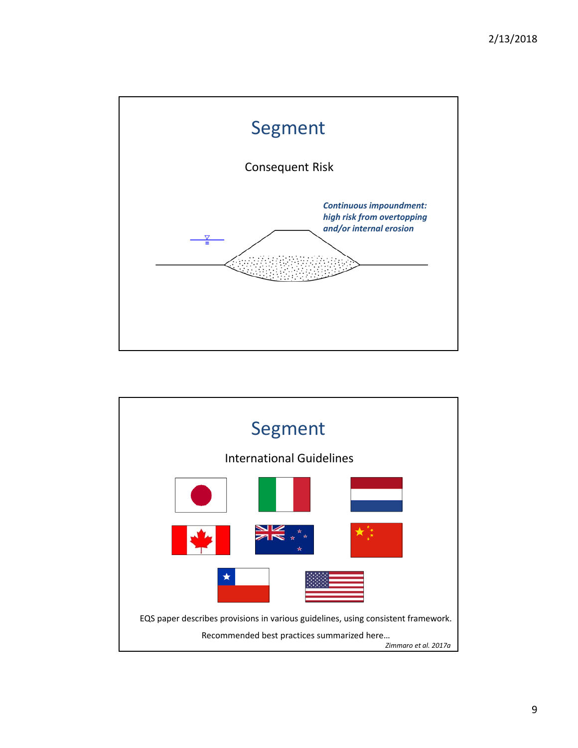

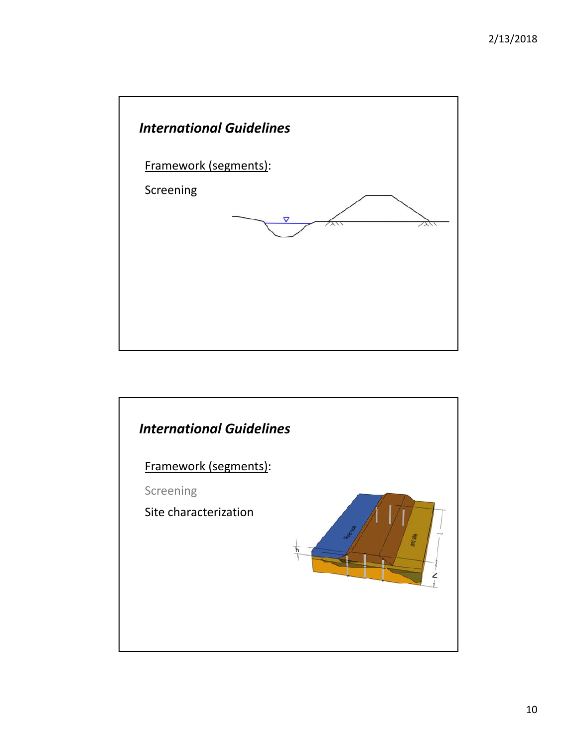

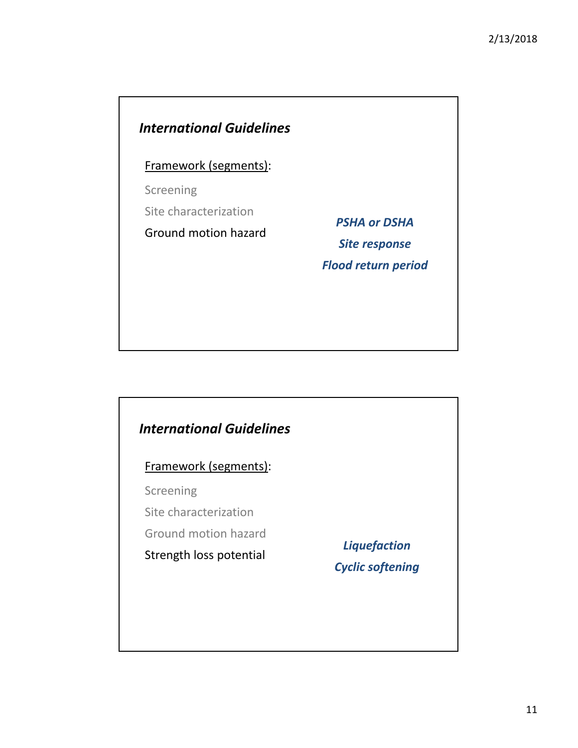#### *International Guidelines*

Framework (segments):

Screening

Site characterization

Ground motion hazard

*PSHA or DSHA Site response Flood return period*

#### *International Guidelines*

Framework (segments):

Screening

Site characterization

Ground motion hazard

Strength loss potential *Liquefaction Cyclic softening*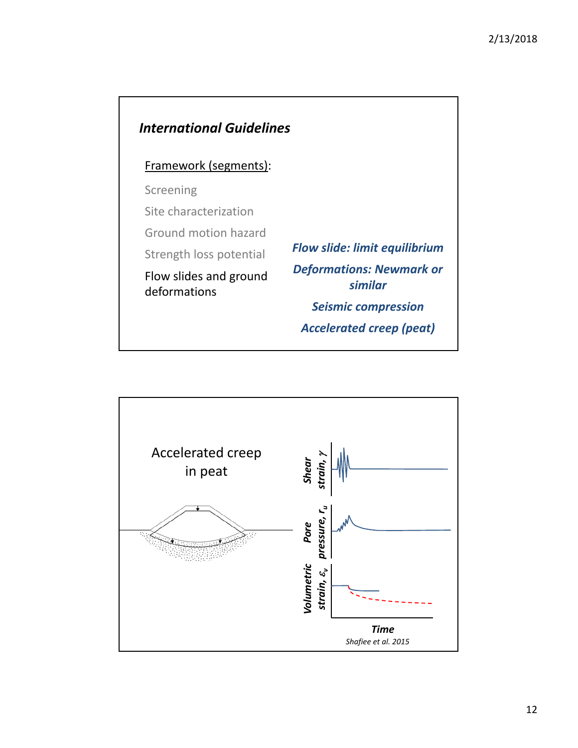

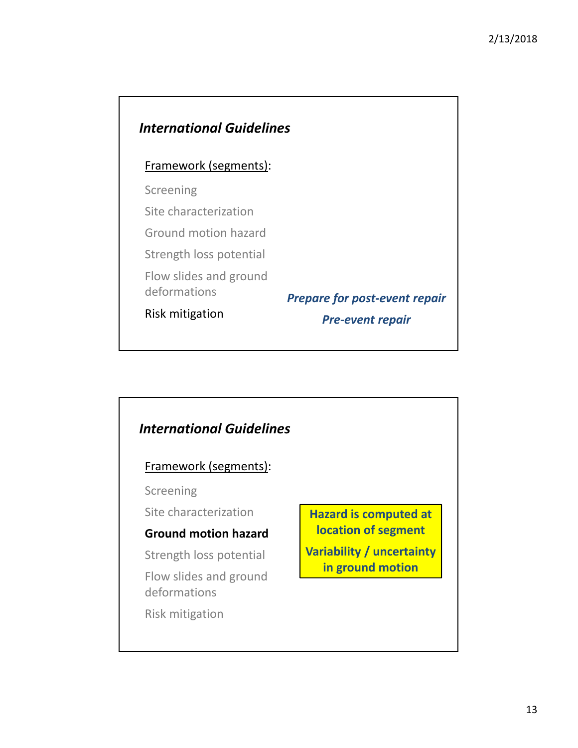#### *International Guidelines*

#### Framework (segments):

Screening

Site characterization

Ground motion hazard

Strength loss potential

Flow slides and ground

deformations

Risk mitigation

*Prepare for post‐event repair*

*Pre‐event repair*

#### *International Guidelines* Framework (segments): Screening Site characterization **Ground motion hazard** Strength loss potential Flow slides and ground deformations Risk mitigation **Hazard is computed at location of segment Variability / uncertainty in ground motion**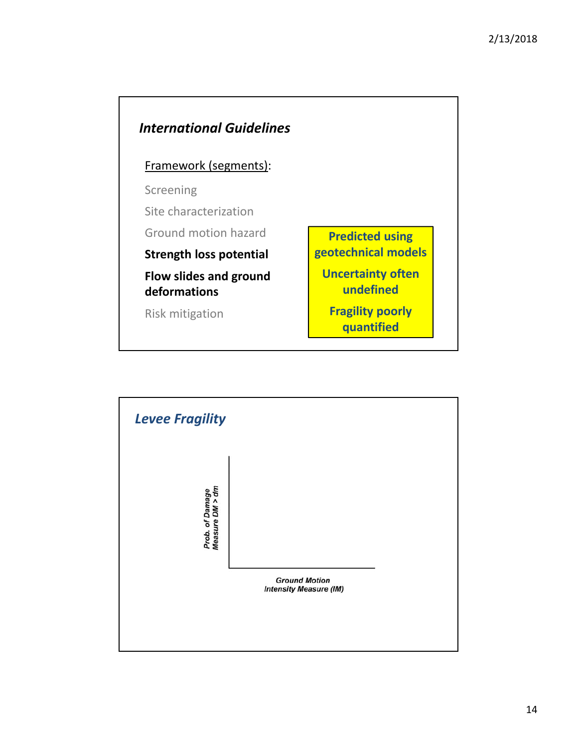

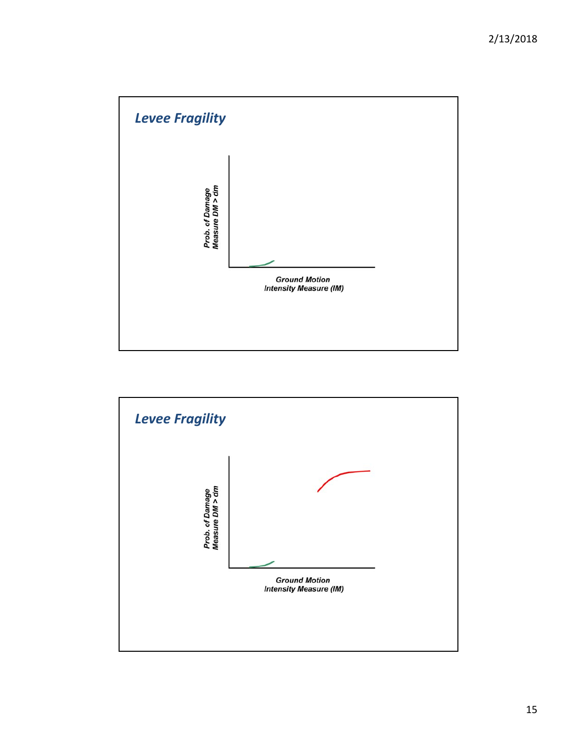

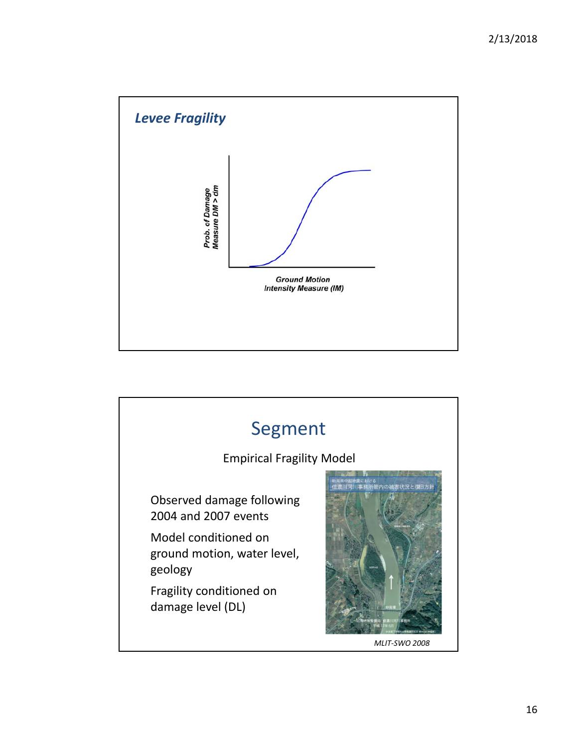

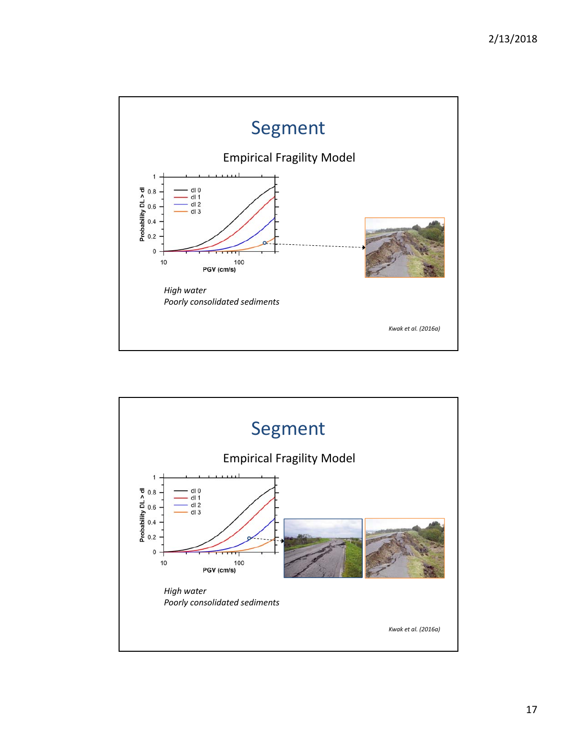

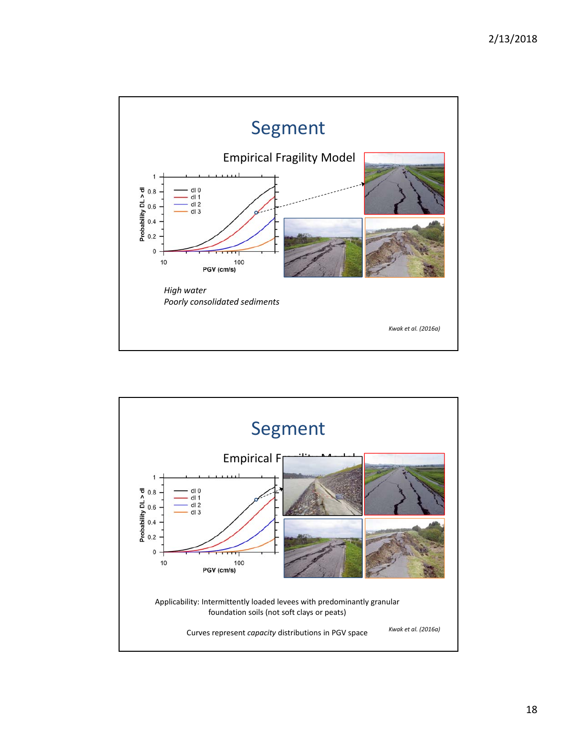

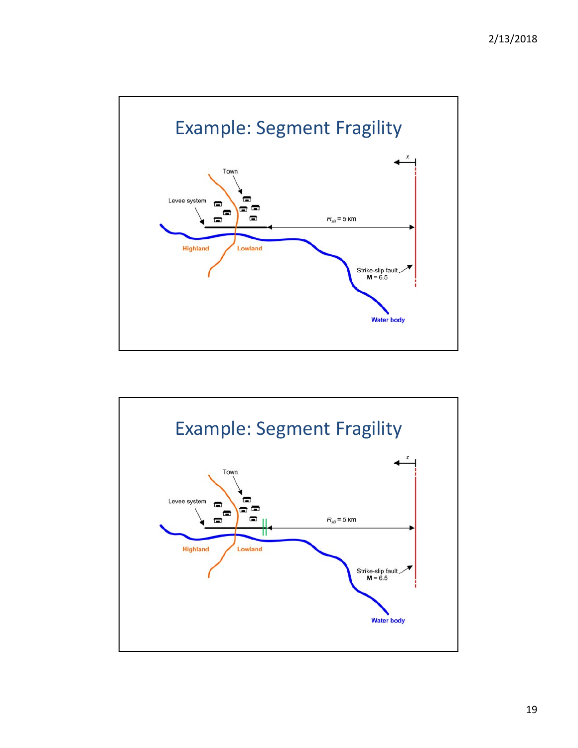

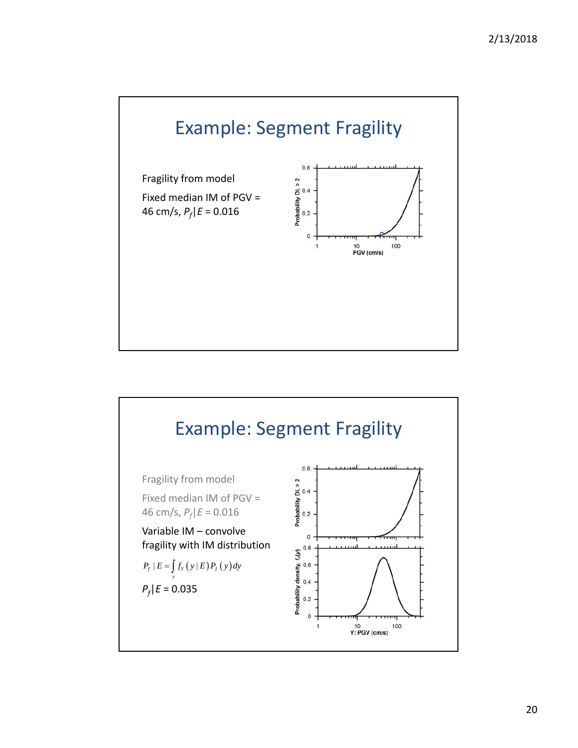

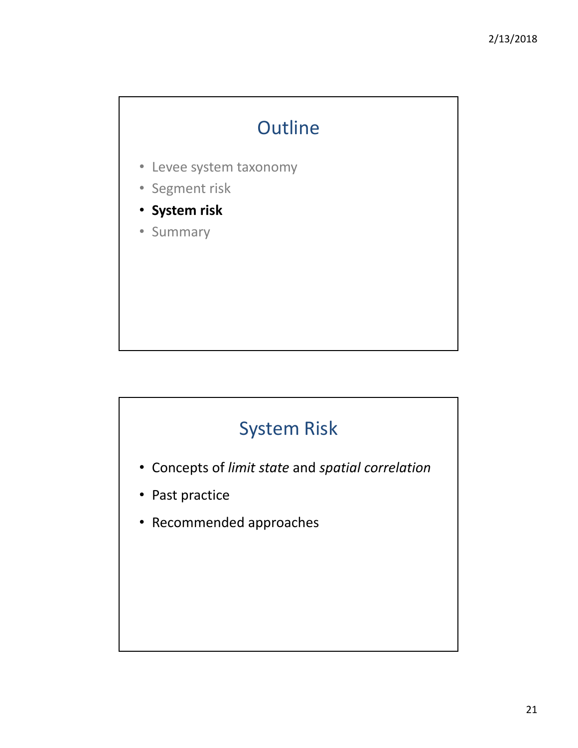# **Outline**

- Levee system taxonomy
- Segment risk
- **System risk**
- Summary

## System Risk

- Concepts of *limit state* and *spatial correlation*
- Past practice
- Recommended approaches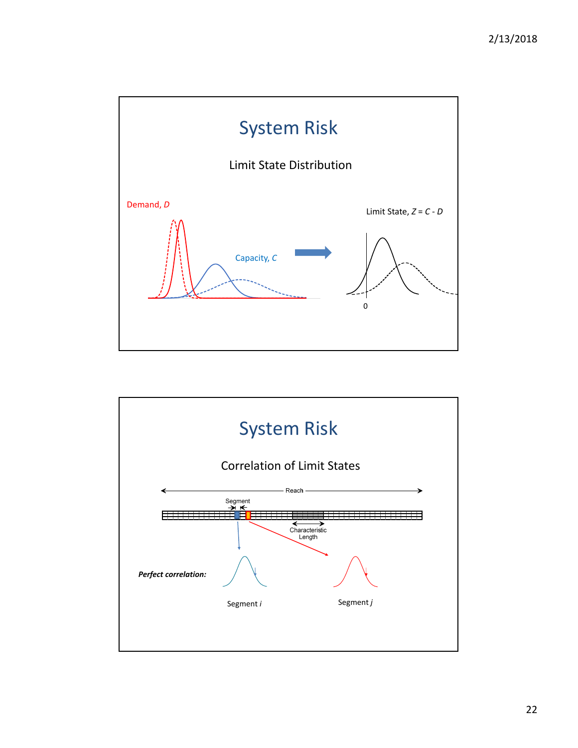

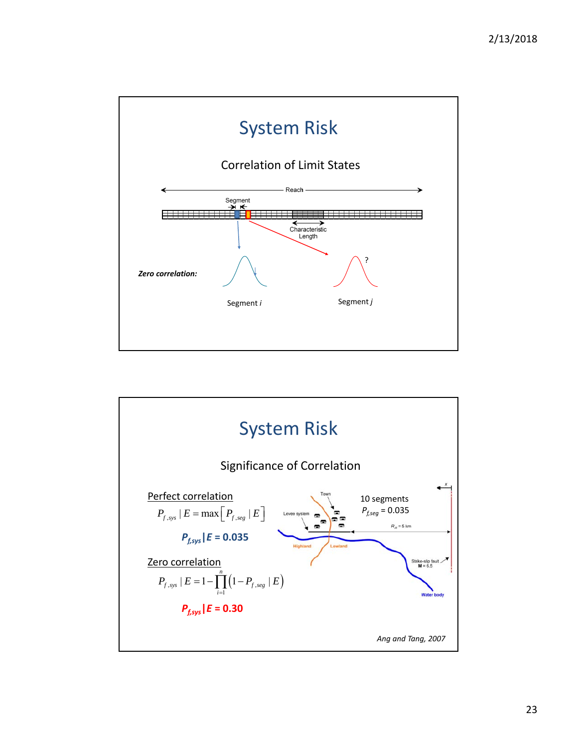

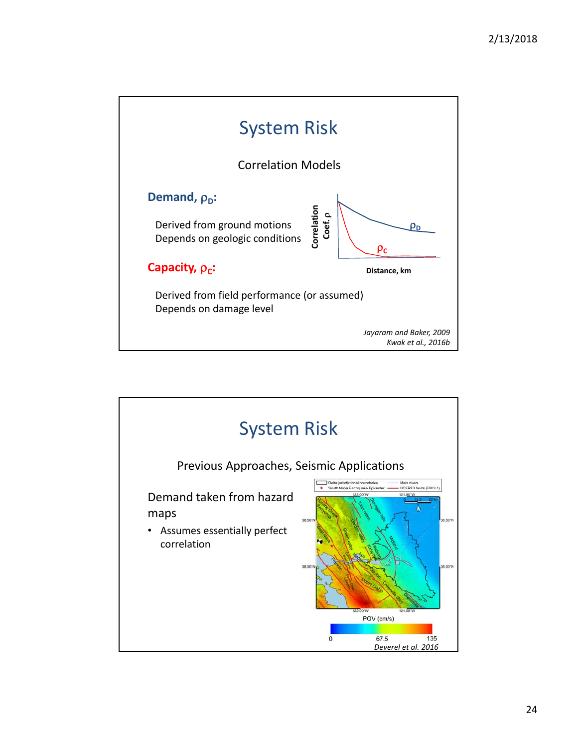

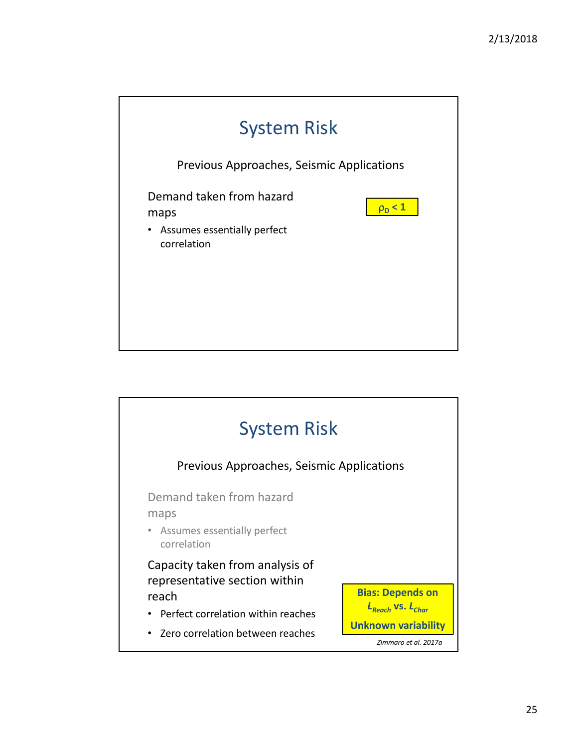

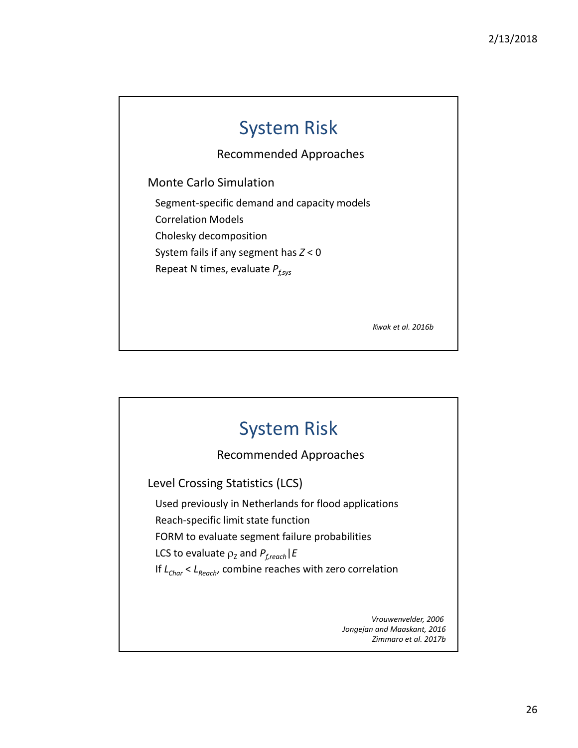### System Risk

Recommended Approaches

Monte Carlo Simulation

Segment‐specific demand and capacity models Correlation Models Cholesky decomposition

System fails if any segment has *Z* < 0

Repeat N times, evaluate  $P_{f,sys}$ 

*Kwak et al. 2016b*



*Jongejan and Maaskant, 2016 Zimmaro et al. 2017b*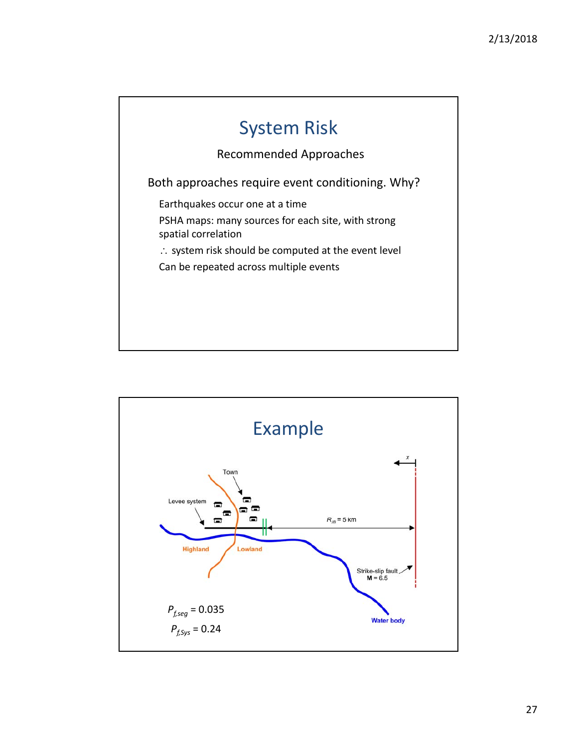

Recommended Approaches

Both approaches require event conditioning. Why?

Earthquakes occur one at a time

PSHA maps: many sources for each site, with strong spatial correlation

 $\therefore$  system risk should be computed at the event level

Can be repeated across multiple events